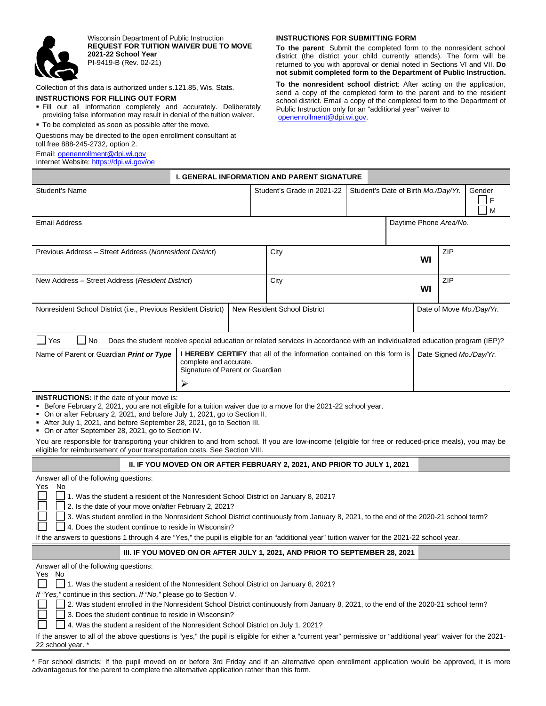

Wisconsin Department of Public Instruction **REQUEST FOR TUITION WAIVER DUE TO MOVE 2021-22 School Year**  PI-9419-B (Rev. 02-21)

Collection of this data is authorized under s.121.85, Wis. Stats.

## **INSTRUCTIONS FOR FILLING OUT FORM**

- Fill out all information completely and accurately. Deliberately providing false information may result in denial of the tuition waiver.
- To be completed as soon as possible after the move.

Questions may be directed to the open enrollment consultant at toll free 888-245-2732, option 2.

Email[: openenrollment@dpi.wi.gov](mailto:openenrollment@dpi.wi.gov)

Internet Website:<https://dpi.wi.gov/oe>

## **INSTRUCTIONS FOR SUBMITTING FORM**

**To the parent**: Submit the completed form to the nonresident school district (the district your child currently attends). The form will be returned to you with approval or denial noted in Sections VI and VII. **Do not submit completed form to the Department of Public Instruction.** 

**To the nonresident school district**: After acting on the application, send a copy of the completed form to the parent and to the resident school district. Email a copy of the completed form to the Department of Public Instruction only for an "additional year" waiver to

[openenrollment@dpi.wi.gov.](mailto:openenrollment@dpi.wi.gov)

|                                                                                                                                                                                                                                                                                                                                                                                                                                                                                                                                                         |  |  | <b>I. GENERAL INFORMATION AND PARENT SIGNATURE</b>                              |                                     |  |                         |            |                  |  |  |
|---------------------------------------------------------------------------------------------------------------------------------------------------------------------------------------------------------------------------------------------------------------------------------------------------------------------------------------------------------------------------------------------------------------------------------------------------------------------------------------------------------------------------------------------------------|--|--|---------------------------------------------------------------------------------|-------------------------------------|--|-------------------------|------------|------------------|--|--|
| Student's Name                                                                                                                                                                                                                                                                                                                                                                                                                                                                                                                                          |  |  | Student's Grade in 2021-22                                                      | Student's Date of Birth Mo./Day/Yr. |  |                         |            | Gender<br>F<br>M |  |  |
| <b>Email Address</b>                                                                                                                                                                                                                                                                                                                                                                                                                                                                                                                                    |  |  | Daytime Phone Area/No.                                                          |                                     |  |                         |            |                  |  |  |
| Previous Address - Street Address (Nonresident District)                                                                                                                                                                                                                                                                                                                                                                                                                                                                                                |  |  | City                                                                            |                                     |  | WI                      | <b>ZIP</b> |                  |  |  |
| New Address - Street Address (Resident District)                                                                                                                                                                                                                                                                                                                                                                                                                                                                                                        |  |  | City                                                                            |                                     |  |                         | ZIP<br>WI  |                  |  |  |
| Nonresident School District (i.e., Previous Resident District)<br>New Resident School District                                                                                                                                                                                                                                                                                                                                                                                                                                                          |  |  |                                                                                 | Date of Move Mo./Day/Yr.            |  |                         |            |                  |  |  |
| Yes<br><b>No</b><br>Does the student receive special education or related services in accordance with an individualized education program (IEP)?                                                                                                                                                                                                                                                                                                                                                                                                        |  |  |                                                                                 |                                     |  |                         |            |                  |  |  |
| Name of Parent or Guardian Print or Type<br><b>I HEREBY CERTIFY</b> that all of the information contained on this form is<br>complete and accurate.<br>Signature of Parent or Guardian<br>⋗                                                                                                                                                                                                                                                                                                                                                             |  |  |                                                                                 |                                     |  | Date Signed Mo./Day/Yr. |            |                  |  |  |
| <b>INSTRUCTIONS:</b> If the date of your move is:<br>Before February 2, 2021, you are not eligible for a tuition waiver due to a move for the 2021-22 school year.<br>• On or after February 2, 2021, and before July 1, 2021, go to Section II.<br>After July 1, 2021, and before September 28, 2021, go to Section III.<br>• On or after September 28, 2021, go to Section IV.                                                                                                                                                                        |  |  |                                                                                 |                                     |  |                         |            |                  |  |  |
| You are responsible for transporting your children to and from school. If you are low-income (eligible for free or reduced-price meals), you may be<br>eligible for reimbursement of your transportation costs. See Section VIII.                                                                                                                                                                                                                                                                                                                       |  |  |                                                                                 |                                     |  |                         |            |                  |  |  |
|                                                                                                                                                                                                                                                                                                                                                                                                                                                                                                                                                         |  |  | <b>II. IF YOU MOVED ON OR AFTER FEBRUARY 2, 2021, AND PRIOR TO JULY 1, 2021</b> |                                     |  |                         |            |                  |  |  |
| Answer all of the following questions:<br>No.<br>Yes<br>1. Was the student a resident of the Nonresident School District on January 8, 2021?<br>2. Is the date of your move on/after February 2, 2021?<br>3. Was student enrolled in the Nonresident School District continuously from January 8, 2021, to the end of the 2020-21 school term?<br>4. Does the student continue to reside in Wisconsin?<br>If the answers to questions 1 through 4 are "Yes," the pupil is eligible for an "additional year" tuition waiver for the 2021-22 school year. |  |  |                                                                                 |                                     |  |                         |            |                  |  |  |
| III. IF YOU MOVED ON OR AFTER JULY 1, 2021, AND PRIOR TO SEPTEMBER 28, 2021                                                                                                                                                                                                                                                                                                                                                                                                                                                                             |  |  |                                                                                 |                                     |  |                         |            |                  |  |  |
| Answer all of the following questions:<br>Yes No<br>1. Was the student a resident of the Nonresident School District on January 8, 2021?                                                                                                                                                                                                                                                                                                                                                                                                                |  |  |                                                                                 |                                     |  |                         |            |                  |  |  |

*If "Yes,"* continue in this section. *If "No,"* please go to Section V.

2. Was student enrolled in the Nonresident School District continuously from January 8, 2021, to the end of the 2020-21 school term?

3. Does the student continue to reside in Wisconsin?

4. Was the student a resident of the Nonresident School District on July 1, 2021?

If the answer to all of the above questions is "yes," the pupil is eligible for either a "current year" permissive or "additional year" waiver for the 2021- 22 school year. \*

\* For school districts: If the pupil moved on or before 3rd Friday and if an alternative open enrollment application would be approved, it is more advantageous for the parent to complete the alternative application rather than this form.